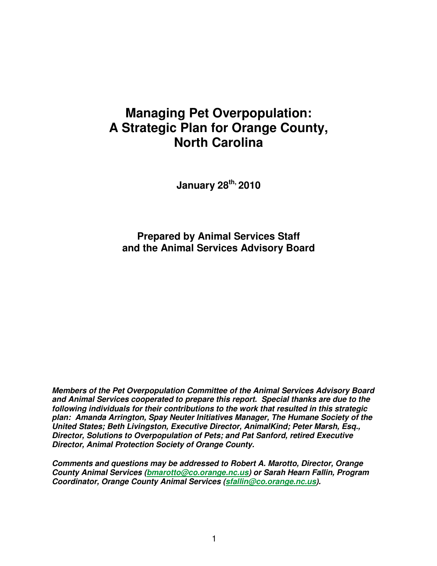# **Managing Pet Overpopulation: A Strategic Plan for Orange County, North Carolina**

**January 28th, 2010** 

**Prepared by Animal Services Staff and the Animal Services Advisory Board** 

**Members of the Pet Overpopulation Committee of the Animal Services Advisory Board and Animal Services cooperated to prepare this report. Special thanks are due to the following individuals for their contributions to the work that resulted in this strategic plan: Amanda Arrington, Spay Neuter Initiatives Manager, The Humane Society of the United States; Beth Livingston, Executive Director, AnimalKind; Peter Marsh, Esq., Director, Solutions to Overpopulation of Pets; and Pat Sanford, retired Executive Director, Animal Protection Society of Orange County.** 

**Comments and questions may be addressed to Robert A. Marotto, Director, Orange County Animal Services (bmarotto@co.orange.nc.us) or Sarah Hearn Fallin, Program Coordinator, Orange County Animal Services (sfallin@co.orange.nc.us).**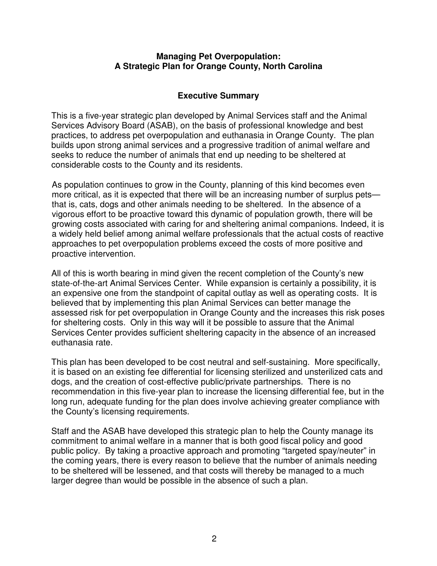#### **Managing Pet Overpopulation: A Strategic Plan for Orange County, North Carolina**

#### **Executive Summary**

This is a five-year strategic plan developed by Animal Services staff and the Animal Services Advisory Board (ASAB), on the basis of professional knowledge and best practices, to address pet overpopulation and euthanasia in Orange County. The plan builds upon strong animal services and a progressive tradition of animal welfare and seeks to reduce the number of animals that end up needing to be sheltered at considerable costs to the County and its residents.

As population continues to grow in the County, planning of this kind becomes even more critical, as it is expected that there will be an increasing number of surplus pets that is, cats, dogs and other animals needing to be sheltered. In the absence of a vigorous effort to be proactive toward this dynamic of population growth, there will be growing costs associated with caring for and sheltering animal companions. Indeed, it is a widely held belief among animal welfare professionals that the actual costs of reactive approaches to pet overpopulation problems exceed the costs of more positive and proactive intervention.

All of this is worth bearing in mind given the recent completion of the County's new state-of-the-art Animal Services Center. While expansion is certainly a possibility, it is an expensive one from the standpoint of capital outlay as well as operating costs. It is believed that by implementing this plan Animal Services can better manage the assessed risk for pet overpopulation in Orange County and the increases this risk poses for sheltering costs. Only in this way will it be possible to assure that the Animal Services Center provides sufficient sheltering capacity in the absence of an increased euthanasia rate.

This plan has been developed to be cost neutral and self-sustaining. More specifically, it is based on an existing fee differential for licensing sterilized and unsterilized cats and dogs, and the creation of cost-effective public/private partnerships. There is no recommendation in this five-year plan to increase the licensing differential fee, but in the long run, adequate funding for the plan does involve achieving greater compliance with the County's licensing requirements.

Staff and the ASAB have developed this strategic plan to help the County manage its commitment to animal welfare in a manner that is both good fiscal policy and good public policy. By taking a proactive approach and promoting "targeted spay/neuter" in the coming years, there is every reason to believe that the number of animals needing to be sheltered will be lessened, and that costs will thereby be managed to a much larger degree than would be possible in the absence of such a plan.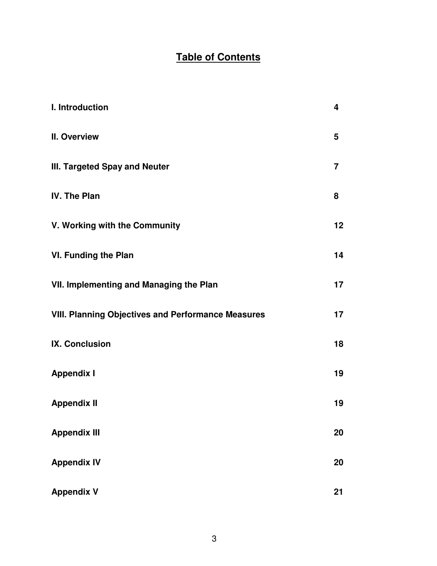## **Table of Contents**

| I. Introduction                                           | $\overline{\mathbf{4}}$ |
|-----------------------------------------------------------|-------------------------|
| II. Overview                                              | 5                       |
| III. Targeted Spay and Neuter                             | $\overline{7}$          |
| IV. The Plan                                              | 8                       |
| V. Working with the Community                             | 12 <sub>2</sub>         |
| <b>VI. Funding the Plan</b>                               | 14                      |
| VII. Implementing and Managing the Plan                   | 17                      |
| <b>VIII. Planning Objectives and Performance Measures</b> | 17                      |
| <b>IX. Conclusion</b>                                     | 18                      |
| <b>Appendix I</b>                                         | 19                      |
| <b>Appendix II</b>                                        | 19                      |
| <b>Appendix III</b>                                       | 20                      |
| <b>Appendix IV</b>                                        | 20                      |
| <b>Appendix V</b>                                         | 21                      |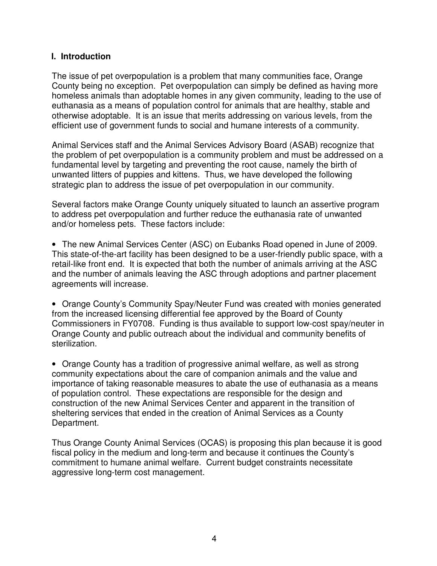#### **I. Introduction**

The issue of pet overpopulation is a problem that many communities face, Orange County being no exception. Pet overpopulation can simply be defined as having more homeless animals than adoptable homes in any given community, leading to the use of euthanasia as a means of population control for animals that are healthy, stable and otherwise adoptable. It is an issue that merits addressing on various levels, from the efficient use of government funds to social and humane interests of a community.

Animal Services staff and the Animal Services Advisory Board (ASAB) recognize that the problem of pet overpopulation is a community problem and must be addressed on a fundamental level by targeting and preventing the root cause, namely the birth of unwanted litters of puppies and kittens. Thus, we have developed the following strategic plan to address the issue of pet overpopulation in our community.

Several factors make Orange County uniquely situated to launch an assertive program to address pet overpopulation and further reduce the euthanasia rate of unwanted and/or homeless pets. These factors include:

• The new Animal Services Center (ASC) on Eubanks Road opened in June of 2009. This state-of-the-art facility has been designed to be a user-friendly public space, with a retail-like front end. It is expected that both the number of animals arriving at the ASC and the number of animals leaving the ASC through adoptions and partner placement agreements will increase.

• Orange County's Community Spay/Neuter Fund was created with monies generated from the increased licensing differential fee approved by the Board of County Commissioners in FY0708. Funding is thus available to support low-cost spay/neuter in Orange County and public outreach about the individual and community benefits of sterilization.

• Orange County has a tradition of progressive animal welfare, as well as strong community expectations about the care of companion animals and the value and importance of taking reasonable measures to abate the use of euthanasia as a means of population control. These expectations are responsible for the design and construction of the new Animal Services Center and apparent in the transition of sheltering services that ended in the creation of Animal Services as a County Department.

Thus Orange County Animal Services (OCAS) is proposing this plan because it is good fiscal policy in the medium and long-term and because it continues the County's commitment to humane animal welfare. Current budget constraints necessitate aggressive long-term cost management.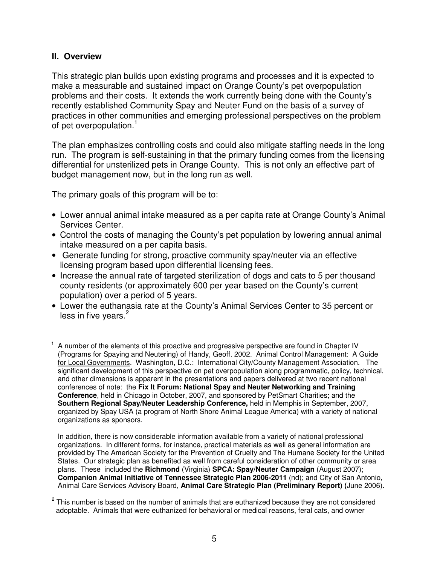#### **II. Overview**

This strategic plan builds upon existing programs and processes and it is expected to make a measurable and sustained impact on Orange County's pet overpopulation problems and their costs. It extends the work currently being done with the County's recently established Community Spay and Neuter Fund on the basis of a survey of practices in other communities and emerging professional perspectives on the problem of pet overpopulation.<sup>1</sup>

The plan emphasizes controlling costs and could also mitigate staffing needs in the long run. The program is self-sustaining in that the primary funding comes from the licensing differential for unsterilized pets in Orange County. This is not only an effective part of budget management now, but in the long run as well.

The primary goals of this program will be to:

- Lower annual animal intake measured as a per capita rate at Orange County's Animal Services Center.
- Control the costs of managing the County's pet population by lowering annual animal intake measured on a per capita basis.
- Generate funding for strong, proactive community spay/neuter via an effective licensing program based upon differential licensing fees.
- Increase the annual rate of targeted sterilization of dogs and cats to 5 per thousand county residents (or approximately 600 per year based on the County's current population) over a period of 5 years.
- Lower the euthanasia rate at the County's Animal Services Center to 35 percent or less in five years. $2$

 In addition, there is now considerable information available from a variety of national professional organizations. In different forms, for instance, practical materials as well as general information are provided by The American Society for the Prevention of Cruelty and The Humane Society for the United States. Our strategic plan as benefited as well from careful consideration of other community or area plans. These included the **Richmond** (Virginia) **SPCA: Spay/Neuter Campaign** (August 2007); **Companion Animal Initiative of Tennessee Strategic Plan 2006-2011** (nd); and City of San Antonio, Animal Care Services Advisory Board, **Animal Care Strategic Plan (Preliminary Report) (**June 2006).

<sup>&</sup>lt;u>.</u> <sup>1</sup> A number of the elements of this proactive and progressive perspective are found in Chapter IV (Programs for Spaying and Neutering) of Handy, Geoff. 2002. Animal Control Management: A Guide for Local Governments. Washington, D.C.: International City/County Management Association. The significant development of this perspective on pet overpopulation along programmatic, policy, technical, and other dimensions is apparent in the presentations and papers delivered at two recent national conferences of note: the **Fix It Forum: National Spay and Neuter Networking and Training Conference**, held in Chicago in October, 2007, and sponsored by PetSmart Charities; and the **Southern Regional Spay/Neuter Leadership Conference,** held in Memphis in September, 2007, organized by Spay USA (a program of North Shore Animal League America) with a variety of national organizations as sponsors.

 $2$  This number is based on the number of animals that are euthanized because they are not considered adoptable. Animals that were euthanized for behavioral or medical reasons, feral cats, and owner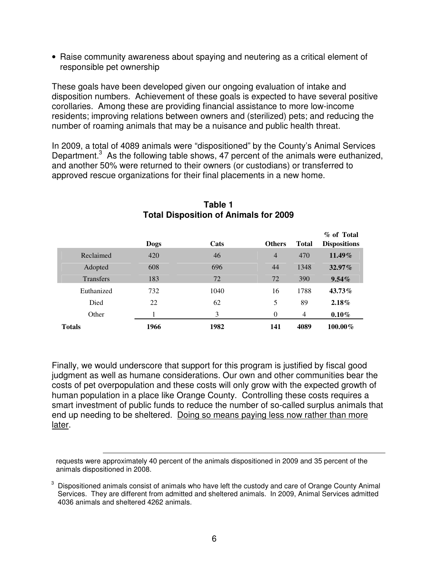• Raise community awareness about spaying and neutering as a critical element of responsible pet ownership

These goals have been developed given our ongoing evaluation of intake and disposition numbers. Achievement of these goals is expected to have several positive corollaries. Among these are providing financial assistance to more low-income residents; improving relations between owners and (sterilized) pets; and reducing the number of roaming animals that may be a nuisance and public health threat.

In 2009, a total of 4089 animals were "dispositioned" by the County's Animal Services Department.<sup>3</sup> As the following table shows, 47 percent of the animals were euthanized, and another 50% were returned to their owners (or custodians) or transferred to approved rescue organizations for their final placements in a new home.

|                  |      |      |                |                | % of Total          |
|------------------|------|------|----------------|----------------|---------------------|
|                  | Dogs | Cats | <b>Others</b>  | <b>Total</b>   | <b>Dispositions</b> |
| Reclaimed        | 420  | 46   | $\overline{4}$ | 470            | 11.49%              |
| Adopted          | 608  | 696  | 44             | 1348           | $32.97\%$           |
| <b>Transfers</b> | 183  | 72   | 72             | 390            | $9.54\%$            |
| Euthanized       | 732  | 1040 | 16             | 1788           | 43.73%              |
| Died             | 22   | 62   | 5              | 89             | 2.18%               |
| Other            |      | 3    | $\theta$       | $\overline{4}$ | $0.10\%$            |
| <b>Totals</b>    | 1966 | 1982 | 141            | 4089           | $100.00\%$          |

#### **Table 1 Total Disposition of Animals for 2009**

Finally, we would underscore that support for this program is justified by fiscal good judgment as well as humane considerations. Our own and other communities bear the costs of pet overpopulation and these costs will only grow with the expected growth of human population in a place like Orange County. Controlling these costs requires a smart investment of public funds to reduce the number of so-called surplus animals that end up needing to be sheltered. Doing so means paying less now rather than more later.

<sup>&</sup>lt;u>.</u> requests were approximately 40 percent of the animals dispositioned in 2009 and 35 percent of the animals dispositioned in 2008.

<sup>3</sup> Dispositioned animals consist of animals who have left the custody and care of Orange County Animal Services. They are different from admitted and sheltered animals. In 2009, Animal Services admitted 4036 animals and sheltered 4262 animals.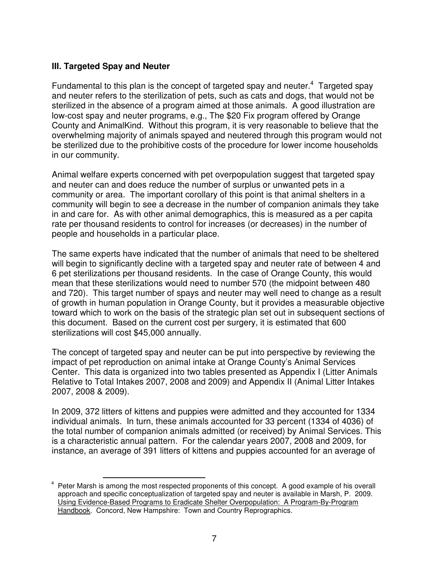## **III. Targeted Spay and Neuter**

Fundamental to this plan is the concept of targeted spay and neuter. $4$  Targeted spay and neuter refers to the sterilization of pets, such as cats and dogs, that would not be sterilized in the absence of a program aimed at those animals. A good illustration are low-cost spay and neuter programs, e.g., The \$20 Fix program offered by Orange County and AnimalKind. Without this program, it is very reasonable to believe that the overwhelming majority of animals spayed and neutered through this program would not be sterilized due to the prohibitive costs of the procedure for lower income households in our community.

Animal welfare experts concerned with pet overpopulation suggest that targeted spay and neuter can and does reduce the number of surplus or unwanted pets in a community or area. The important corollary of this point is that animal shelters in a community will begin to see a decrease in the number of companion animals they take in and care for. As with other animal demographics, this is measured as a per capita rate per thousand residents to control for increases (or decreases) in the number of people and households in a particular place.

The same experts have indicated that the number of animals that need to be sheltered will begin to significantly decline with a targeted spay and neuter rate of between 4 and 6 pet sterilizations per thousand residents. In the case of Orange County, this would mean that these sterilizations would need to number 570 (the midpoint between 480 and 720). This target number of spays and neuter may well need to change as a result of growth in human population in Orange County, but it provides a measurable objective toward which to work on the basis of the strategic plan set out in subsequent sections of this document. Based on the current cost per surgery, it is estimated that 600 sterilizations will cost \$45,000 annually.

The concept of targeted spay and neuter can be put into perspective by reviewing the impact of pet reproduction on animal intake at Orange County's Animal Services Center. This data is organized into two tables presented as Appendix I (Litter Animals Relative to Total Intakes 2007, 2008 and 2009) and Appendix II (Animal Litter Intakes 2007, 2008 & 2009).

In 2009, 372 litters of kittens and puppies were admitted and they accounted for 1334 individual animals. In turn, these animals accounted for 33 percent (1334 of 4036) of the total number of companion animals admitted (or received) by Animal Services. This is a characteristic annual pattern. For the calendar years 2007, 2008 and 2009, for instance, an average of 391 litters of kittens and puppies accounted for an average of

<sup>&</sup>lt;u>.</u> 4 Peter Marsh is among the most respected proponents of this concept. A good example of his overall approach and specific conceptualization of targeted spay and neuter is available in Marsh, P. 2009. Using Evidence-Based Programs to Eradicate Shelter Overpopulation: A Program-By-Program Handbook. Concord, New Hampshire: Town and Country Reprographics.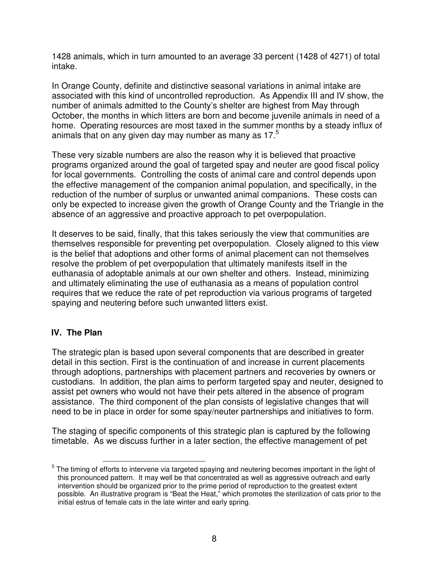1428 animals, which in turn amounted to an average 33 percent (1428 of 4271) of total intake.

In Orange County, definite and distinctive seasonal variations in animal intake are associated with this kind of uncontrolled reproduction. As Appendix III and IV show, the number of animals admitted to the County's shelter are highest from May through October, the months in which litters are born and become juvenile animals in need of a home. Operating resources are most taxed in the summer months by a steady influx of animals that on any given day may number as many as 17. $5$ 

These very sizable numbers are also the reason why it is believed that proactive programs organized around the goal of targeted spay and neuter are good fiscal policy for local governments. Controlling the costs of animal care and control depends upon the effective management of the companion animal population, and specifically, in the reduction of the number of surplus or unwanted animal companions. These costs can only be expected to increase given the growth of Orange County and the Triangle in the absence of an aggressive and proactive approach to pet overpopulation.

It deserves to be said, finally, that this takes seriously the view that communities are themselves responsible for preventing pet overpopulation. Closely aligned to this view is the belief that adoptions and other forms of animal placement can not themselves resolve the problem of pet overpopulation that ultimately manifests itself in the euthanasia of adoptable animals at our own shelter and others. Instead, minimizing and ultimately eliminating the use of euthanasia as a means of population control requires that we reduce the rate of pet reproduction via various programs of targeted spaying and neutering before such unwanted litters exist.

## **IV. The Plan**

The strategic plan is based upon several components that are described in greater detail in this section. First is the continuation of and increase in current placements through adoptions, partnerships with placement partners and recoveries by owners or custodians. In addition, the plan aims to perform targeted spay and neuter, designed to assist pet owners who would not have their pets altered in the absence of program assistance. The third component of the plan consists of legislative changes that will need to be in place in order for some spay/neuter partnerships and initiatives to form.

The staging of specific components of this strategic plan is captured by the following timetable. As we discuss further in a later section, the effective management of pet

<sup>&</sup>lt;u>.</u> <sup>5</sup> The timing of efforts to intervene via targeted spaying and neutering becomes important in the light of this pronounced pattern. It may well be that concentrated as well as aggressive outreach and early intervention should be organized prior to the prime period of reproduction to the greatest extent possible. An illustrative program is "Beat the Heat," which promotes the sterilization of cats prior to the initial estrus of female cats in the late winter and early spring.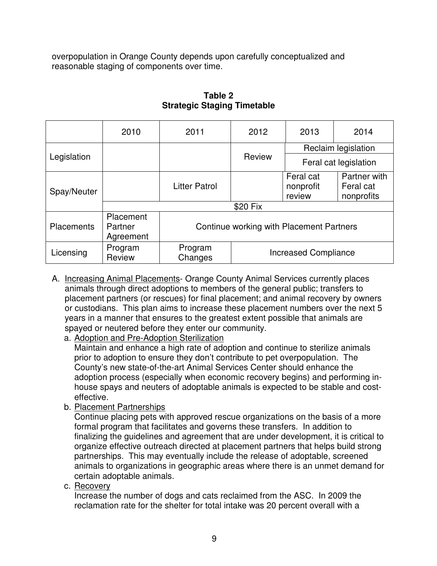overpopulation in Orange County depends upon carefully conceptualized and reasonable staging of components over time.

|                   | 2010                              | 2011                                     | 2012                        | 2013                             | 2014                                    |  |  |
|-------------------|-----------------------------------|------------------------------------------|-----------------------------|----------------------------------|-----------------------------------------|--|--|
|                   |                                   |                                          |                             | Reclaim legislation              |                                         |  |  |
| Legislation       |                                   |                                          | Review                      | Feral cat legislation            |                                         |  |  |
| Spay/Neuter       |                                   | <b>Litter Patrol</b>                     |                             | Feral cat<br>nonprofit<br>review | Partner with<br>Feral cat<br>nonprofits |  |  |
|                   | \$20 Fix                          |                                          |                             |                                  |                                         |  |  |
| <b>Placements</b> | Placement<br>Partner<br>Agreement | Continue working with Placement Partners |                             |                                  |                                         |  |  |
| Licensing         | Program<br>Review                 | Program<br>Changes                       | <b>Increased Compliance</b> |                                  |                                         |  |  |

**Table 2 Strategic Staging Timetable** 

- A. Increasing Animal Placements- Orange County Animal Services currently places animals through direct adoptions to members of the general public; transfers to placement partners (or rescues) for final placement; and animal recovery by owners or custodians. This plan aims to increase these placement numbers over the next 5 years in a manner that ensures to the greatest extent possible that animals are spayed or neutered before they enter our community.
	- a. Adoption and Pre-Adoption Sterilization

Maintain and enhance a high rate of adoption and continue to sterilize animals prior to adoption to ensure they don't contribute to pet overpopulation. The County's new state-of-the-art Animal Services Center should enhance the adoption process (especially when economic recovery begins) and performing inhouse spays and neuters of adoptable animals is expected to be stable and costeffective.

b. Placement Partnerships

Continue placing pets with approved rescue organizations on the basis of a more formal program that facilitates and governs these transfers. In addition to finalizing the guidelines and agreement that are under development, it is critical to organize effective outreach directed at placement partners that helps build strong partnerships. This may eventually include the release of adoptable, screened animals to organizations in geographic areas where there is an unmet demand for certain adoptable animals.

c. Recovery

Increase the number of dogs and cats reclaimed from the ASC. In 2009 the reclamation rate for the shelter for total intake was 20 percent overall with a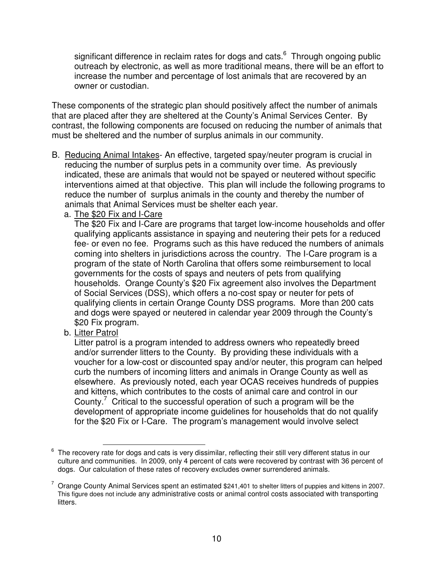significant difference in reclaim rates for dogs and cats. $6$  Through ongoing public outreach by electronic, as well as more traditional means, there will be an effort to increase the number and percentage of lost animals that are recovered by an owner or custodian.

These components of the strategic plan should positively affect the number of animals that are placed after they are sheltered at the County's Animal Services Center. By contrast, the following components are focused on reducing the number of animals that must be sheltered and the number of surplus animals in our community.

- B. Reducing Animal Intakes- An effective, targeted spay/neuter program is crucial in reducing the number of surplus pets in a community over time. As previously indicated, these are animals that would not be spayed or neutered without specific interventions aimed at that objective. This plan will include the following programs to reduce the number of surplus animals in the county and thereby the number of animals that Animal Services must be shelter each year.
	- a. The \$20 Fix and I-Care

The \$20 Fix and I-Care are programs that target low-income households and offer qualifying applicants assistance in spaying and neutering their pets for a reduced fee- or even no fee. Programs such as this have reduced the numbers of animals coming into shelters in jurisdictions across the country. The I-Care program is a program of the state of North Carolina that offers some reimbursement to local governments for the costs of spays and neuters of pets from qualifying households. Orange County's \$20 Fix agreement also involves the Department of Social Services (DSS), which offers a no-cost spay or neuter for pets of qualifying clients in certain Orange County DSS programs. More than 200 cats and dogs were spayed or neutered in calendar year 2009 through the County's \$20 Fix program.

b. Litter Patrol

Litter patrol is a program intended to address owners who repeatedly breed and/or surrender litters to the County. By providing these individuals with a voucher for a low-cost or discounted spay and/or neuter, this program can helped curb the numbers of incoming litters and animals in Orange County as well as elsewhere. As previously noted, each year OCAS receives hundreds of puppies and kittens, which contributes to the costs of animal care and control in our County.<sup>7</sup> Critical to the successful operation of such a program will be the development of appropriate income guidelines for households that do not qualify for the \$20 Fix or I-Care. The program's management would involve select

<sup>&</sup>lt;u>.</u> 6 The recovery rate for dogs and cats is very dissimilar, reflecting their still very different status in our culture and communities. In 2009, only 4 percent of cats were recovered by contrast with 36 percent of dogs. Our calculation of these rates of recovery excludes owner surrendered animals.

<sup>7</sup> Orange County Animal Services spent an estimated \$241,401 to shelter litters of puppies and kittens in 2007. This figure does not include any administrative costs or animal control costs associated with transporting litters.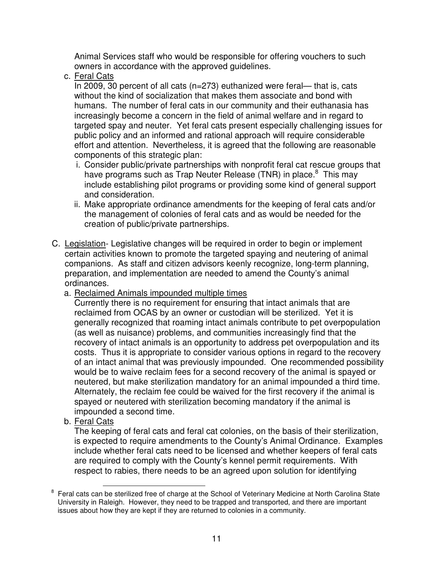Animal Services staff who would be responsible for offering vouchers to such owners in accordance with the approved guidelines.

c. Feral Cats

In 2009, 30 percent of all cats (n=273) euthanized were feral— that is, cats without the kind of socialization that makes them associate and bond with humans. The number of feral cats in our community and their euthanasia has increasingly become a concern in the field of animal welfare and in regard to targeted spay and neuter. Yet feral cats present especially challenging issues for public policy and an informed and rational approach will require considerable effort and attention. Nevertheless, it is agreed that the following are reasonable components of this strategic plan:

- i. Consider public/private partnerships with nonprofit feral cat rescue groups that have programs such as Trap Neuter Release (TNR) in place.<sup>8</sup> This may include establishing pilot programs or providing some kind of general support and consideration.
- ii. Make appropriate ordinance amendments for the keeping of feral cats and/or the management of colonies of feral cats and as would be needed for the creation of public/private partnerships.
- C. Legislation- Legislative changes will be required in order to begin or implement certain activities known to promote the targeted spaying and neutering of animal companions. As staff and citizen advisors keenly recognize, long-term planning, preparation, and implementation are needed to amend the County's animal ordinances.
	- a. Reclaimed Animals impounded multiple times

Currently there is no requirement for ensuring that intact animals that are reclaimed from OCAS by an owner or custodian will be sterilized. Yet it is generally recognized that roaming intact animals contribute to pet overpopulation (as well as nuisance) problems, and communities increasingly find that the recovery of intact animals is an opportunity to address pet overpopulation and its costs. Thus it is appropriate to consider various options in regard to the recovery of an intact animal that was previously impounded. One recommended possibility would be to waive reclaim fees for a second recovery of the animal is spayed or neutered, but make sterilization mandatory for an animal impounded a third time. Alternately, the reclaim fee could be waived for the first recovery if the animal is spayed or neutered with sterilization becoming mandatory if the animal is impounded a second time.

b. Feral Cats

The keeping of feral cats and feral cat colonies, on the basis of their sterilization, is expected to require amendments to the County's Animal Ordinance. Examples include whether feral cats need to be licensed and whether keepers of feral cats are required to comply with the County's kennel permit requirements. With respect to rabies, there needs to be an agreed upon solution for identifying

Eural cats can be sterilized free of charge at the School of Veterinary Medicine at North Carolina State<br><sup>8</sup> Feral cats can be sterilized free of charge at the School of Veterinary Medicine at North Carolina State University in Raleigh. However, they need to be trapped and transported, and there are important issues about how they are kept if they are returned to colonies in a community.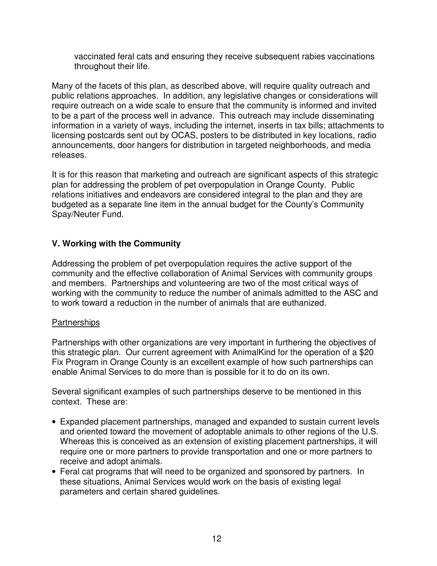vaccinated feral cats and ensuring they receive subsequent rabies vaccinations throughout their life.

Many of the facets of this plan, as described above, will require quality outreach and public relations approaches. In addition, any legislative changes or considerations will require outreach on a wide scale to ensure that the community is informed and invited to be a part of the process well in advance. This outreach may include disseminating information in a variety of ways, including the internet, inserts in tax bills; attachments to licensing postcards sent out by OCAS, posters to be distributed in key locations, radio announcements, door hangers for distribution in targeted neighborhoods, and media releases.

It is for this reason that marketing and outreach are significant aspects of this strategic plan for addressing the problem of pet overpopulation in Orange County. Public relations initiatives and endeavors are considered integral to the plan and they are budgeted as a separate line item in the annual budget for the County's Community Spay/Neuter Fund.

## **V. Working with the Community**

Addressing the problem of pet overpopulation requires the active support of the community and the effective collaboration of Animal Services with community groups and members. Partnerships and volunteering are two of the most critical ways of working with the community to reduce the number of animals admitted to the ASC and to work toward a reduction in the number of animals that are euthanized.

## **Partnerships**

Partnerships with other organizations are very important in furthering the objectives of this strategic plan. Our current agreement with AnimalKind for the operation of a \$20 Fix Program in Orange County is an excellent example of how such partnerships can enable Animal Services to do more than is possible for it to do on its own.

Several significant examples of such partnerships deserve to be mentioned in this context. These are:

- Expanded placement partnerships, managed and expanded to sustain current levels and oriented toward the movement of adoptable animals to other regions of the U.S. Whereas this is conceived as an extension of existing placement partnerships, it will require one or more partners to provide transportation and one or more partners to receive and adopt animals.
- Feral cat programs that will need to be organized and sponsored by partners. In these situations, Animal Services would work on the basis of existing legal parameters and certain shared guidelines.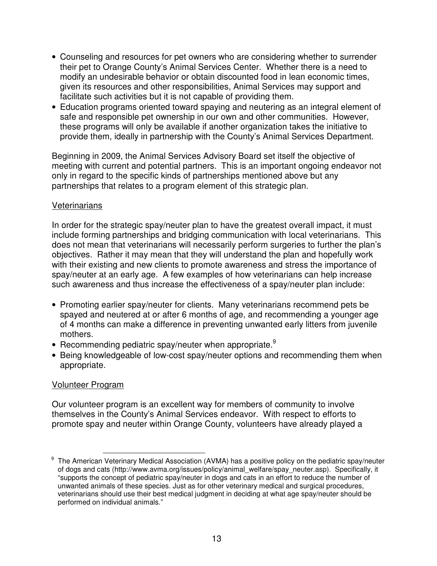- Counseling and resources for pet owners who are considering whether to surrender their pet to Orange County's Animal Services Center. Whether there is a need to modify an undesirable behavior or obtain discounted food in lean economic times, given its resources and other responsibilities, Animal Services may support and facilitate such activities but it is not capable of providing them.
- Education programs oriented toward spaying and neutering as an integral element of safe and responsible pet ownership in our own and other communities. However, these programs will only be available if another organization takes the initiative to provide them, ideally in partnership with the County's Animal Services Department.

Beginning in 2009, the Animal Services Advisory Board set itself the objective of meeting with current and potential partners. This is an important ongoing endeavor not only in regard to the specific kinds of partnerships mentioned above but any partnerships that relates to a program element of this strategic plan.

#### **Veterinarians**

In order for the strategic spay/neuter plan to have the greatest overall impact, it must include forming partnerships and bridging communication with local veterinarians. This does not mean that veterinarians will necessarily perform surgeries to further the plan's objectives. Rather it may mean that they will understand the plan and hopefully work with their existing and new clients to promote awareness and stress the importance of spay/neuter at an early age. A few examples of how veterinarians can help increase such awareness and thus increase the effectiveness of a spay/neuter plan include:

- Promoting earlier spay/neuter for clients. Many veterinarians recommend pets be spayed and neutered at or after 6 months of age, and recommending a younger age of 4 months can make a difference in preventing unwanted early litters from juvenile mothers.
- Recommending pediatric spay/neuter when appropriate. $9$
- Being knowledgeable of low-cost spay/neuter options and recommending them when appropriate.

## Volunteer Program

Our volunteer program is an excellent way for members of community to involve themselves in the County's Animal Services endeavor. With respect to efforts to promote spay and neuter within Orange County, volunteers have already played a

<sup>9&</sup>lt;br>The American Veterinary Medical Association (AVMA) has a positive policy on the pediatric spay/neuter of dogs and cats (http://www.avma.org/issues/policy/animal\_welfare/spay\_neuter.asp). Specifically, it "supports the concept of pediatric spay/neuter in dogs and cats in an effort to reduce the number of unwanted animals of these species. Just as for other veterinary medical and surgical procedures, veterinarians should use their best medical judgment in deciding at what age spay/neuter should be performed on individual animals."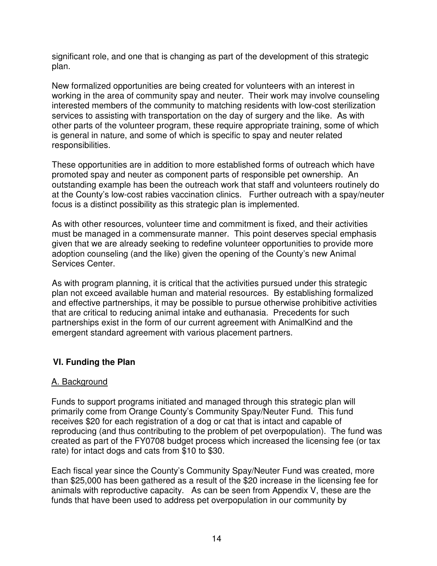significant role, and one that is changing as part of the development of this strategic plan.

New formalized opportunities are being created for volunteers with an interest in working in the area of community spay and neuter. Their work may involve counseling interested members of the community to matching residents with low-cost sterilization services to assisting with transportation on the day of surgery and the like. As with other parts of the volunteer program, these require appropriate training, some of which is general in nature, and some of which is specific to spay and neuter related responsibilities.

These opportunities are in addition to more established forms of outreach which have promoted spay and neuter as component parts of responsible pet ownership. An outstanding example has been the outreach work that staff and volunteers routinely do at the County's low-cost rabies vaccination clinics. Further outreach with a spay/neuter focus is a distinct possibility as this strategic plan is implemented.

As with other resources, volunteer time and commitment is fixed, and their activities must be managed in a commensurate manner. This point deserves special emphasis given that we are already seeking to redefine volunteer opportunities to provide more adoption counseling (and the like) given the opening of the County's new Animal Services Center.

As with program planning, it is critical that the activities pursued under this strategic plan not exceed available human and material resources. By establishing formalized and effective partnerships, it may be possible to pursue otherwise prohibitive activities that are critical to reducing animal intake and euthanasia. Precedents for such partnerships exist in the form of our current agreement with AnimalKind and the emergent standard agreement with various placement partners.

## **VI. Funding the Plan**

## A. Background

Funds to support programs initiated and managed through this strategic plan will primarily come from Orange County's Community Spay/Neuter Fund. This fund receives \$20 for each registration of a dog or cat that is intact and capable of reproducing (and thus contributing to the problem of pet overpopulation). The fund was created as part of the FY0708 budget process which increased the licensing fee (or tax rate) for intact dogs and cats from \$10 to \$30.

Each fiscal year since the County's Community Spay/Neuter Fund was created, more than \$25,000 has been gathered as a result of the \$20 increase in the licensing fee for animals with reproductive capacity. As can be seen from Appendix V, these are the funds that have been used to address pet overpopulation in our community by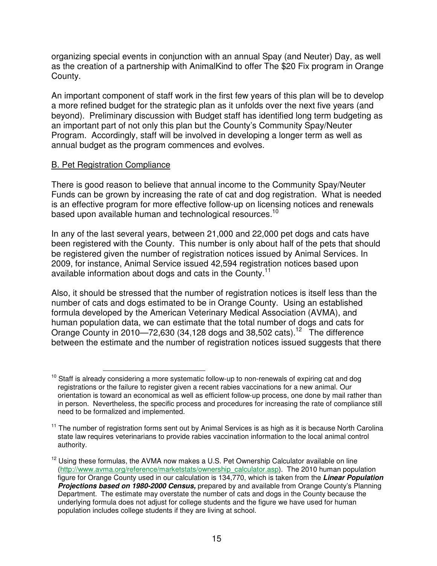organizing special events in conjunction with an annual Spay (and Neuter) Day, as well as the creation of a partnership with AnimalKind to offer The \$20 Fix program in Orange County.

An important component of staff work in the first few years of this plan will be to develop a more refined budget for the strategic plan as it unfolds over the next five years (and beyond). Preliminary discussion with Budget staff has identified long term budgeting as an important part of not only this plan but the County's Community Spay/Neuter Program. Accordingly, staff will be involved in developing a longer term as well as annual budget as the program commences and evolves.

#### B. Pet Registration Compliance

There is good reason to believe that annual income to the Community Spay/Neuter Funds can be grown by increasing the rate of cat and dog registration. What is needed is an effective program for more effective follow-up on licensing notices and renewals based upon available human and technological resources.<sup>10</sup>

In any of the last several years, between 21,000 and 22,000 pet dogs and cats have been registered with the County. This number is only about half of the pets that should be registered given the number of registration notices issued by Animal Services. In 2009, for instance, Animal Service issued 42,594 registration notices based upon available information about dogs and cats in the County.<sup>11</sup>

Also, it should be stressed that the number of registration notices is itself less than the number of cats and dogs estimated to be in Orange County. Using an established formula developed by the American Veterinary Medical Association (AVMA), and human population data, we can estimate that the total number of dogs and cats for Orange County in 2010—72,630 (34,128 dogs and 38,502 cats).<sup>12</sup> The difference between the estimate and the number of registration notices issued suggests that there

<sup>&</sup>lt;u>.</u>  $10$  Staff is already considering a more systematic follow-up to non-renewals of expiring cat and dog registrations or the failure to register given a recent rabies vaccinations for a new animal. Our orientation is toward an economical as well as efficient follow-up process, one done by mail rather than in person. Nevertheless, the specific process and procedures for increasing the rate of compliance still need to be formalized and implemented.

<sup>&</sup>lt;sup>11</sup> The number of registration forms sent out by Animal Services is as high as it is because North Carolina state law requires veterinarians to provide rabies vaccination information to the local animal control authority.

 $12$  Using these formulas, the AVMA now makes a U.S. Pet Ownership Calculator available on line (http://www.avma.org/reference/marketstats/ownership\_calculator.asp). The 2010 human population figure for Orange County used in our calculation is 134,770, which is taken from the **Linear Population Projections based on 1980-2000 Census,** prepared by and available from Orange County's Planning Department. The estimate may overstate the number of cats and dogs in the County because the underlying formula does not adjust for college students and the figure we have used for human population includes college students if they are living at school.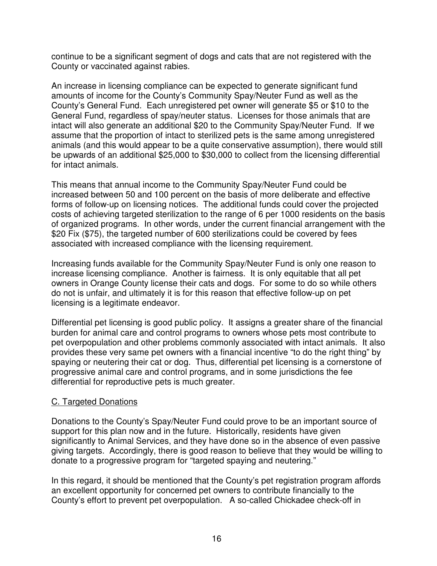continue to be a significant segment of dogs and cats that are not registered with the County or vaccinated against rabies.

An increase in licensing compliance can be expected to generate significant fund amounts of income for the County's Community Spay/Neuter Fund as well as the County's General Fund. Each unregistered pet owner will generate \$5 or \$10 to the General Fund, regardless of spay/neuter status. Licenses for those animals that are intact will also generate an additional \$20 to the Community Spay/Neuter Fund. If we assume that the proportion of intact to sterilized pets is the same among unregistered animals (and this would appear to be a quite conservative assumption), there would still be upwards of an additional \$25,000 to \$30,000 to collect from the licensing differential for intact animals.

This means that annual income to the Community Spay/Neuter Fund could be increased between 50 and 100 percent on the basis of more deliberate and effective forms of follow-up on licensing notices. The additional funds could cover the projected costs of achieving targeted sterilization to the range of 6 per 1000 residents on the basis of organized programs. In other words, under the current financial arrangement with the \$20 Fix (\$75), the targeted number of 600 sterilizations could be covered by fees associated with increased compliance with the licensing requirement.

Increasing funds available for the Community Spay/Neuter Fund is only one reason to increase licensing compliance. Another is fairness. It is only equitable that all pet owners in Orange County license their cats and dogs. For some to do so while others do not is unfair, and ultimately it is for this reason that effective follow-up on pet licensing is a legitimate endeavor.

Differential pet licensing is good public policy. It assigns a greater share of the financial burden for animal care and control programs to owners whose pets most contribute to pet overpopulation and other problems commonly associated with intact animals. It also provides these very same pet owners with a financial incentive "to do the right thing" by spaying or neutering their cat or dog. Thus, differential pet licensing is a cornerstone of progressive animal care and control programs, and in some jurisdictions the fee differential for reproductive pets is much greater.

#### C. Targeted Donations

Donations to the County's Spay/Neuter Fund could prove to be an important source of support for this plan now and in the future. Historically, residents have given significantly to Animal Services, and they have done so in the absence of even passive giving targets. Accordingly, there is good reason to believe that they would be willing to donate to a progressive program for "targeted spaying and neutering."

In this regard, it should be mentioned that the County's pet registration program affords an excellent opportunity for concerned pet owners to contribute financially to the County's effort to prevent pet overpopulation. A so-called Chickadee check-off in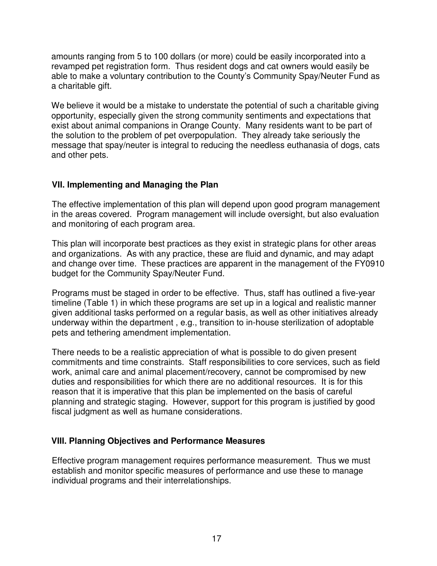amounts ranging from 5 to 100 dollars (or more) could be easily incorporated into a revamped pet registration form. Thus resident dogs and cat owners would easily be able to make a voluntary contribution to the County's Community Spay/Neuter Fund as a charitable gift.

We believe it would be a mistake to understate the potential of such a charitable giving opportunity, especially given the strong community sentiments and expectations that exist about animal companions in Orange County. Many residents want to be part of the solution to the problem of pet overpopulation. They already take seriously the message that spay/neuter is integral to reducing the needless euthanasia of dogs, cats and other pets.

## **VII. Implementing and Managing the Plan**

The effective implementation of this plan will depend upon good program management in the areas covered. Program management will include oversight, but also evaluation and monitoring of each program area.

This plan will incorporate best practices as they exist in strategic plans for other areas and organizations. As with any practice, these are fluid and dynamic, and may adapt and change over time. These practices are apparent in the management of the FY0910 budget for the Community Spay/Neuter Fund.

Programs must be staged in order to be effective. Thus, staff has outlined a five-year timeline (Table 1) in which these programs are set up in a logical and realistic manner given additional tasks performed on a regular basis, as well as other initiatives already underway within the department , e.g., transition to in-house sterilization of adoptable pets and tethering amendment implementation.

There needs to be a realistic appreciation of what is possible to do given present commitments and time constraints. Staff responsibilities to core services, such as field work, animal care and animal placement/recovery, cannot be compromised by new duties and responsibilities for which there are no additional resources. It is for this reason that it is imperative that this plan be implemented on the basis of careful planning and strategic staging. However, support for this program is justified by good fiscal judgment as well as humane considerations.

#### **VIII. Planning Objectives and Performance Measures**

Effective program management requires performance measurement. Thus we must establish and monitor specific measures of performance and use these to manage individual programs and their interrelationships.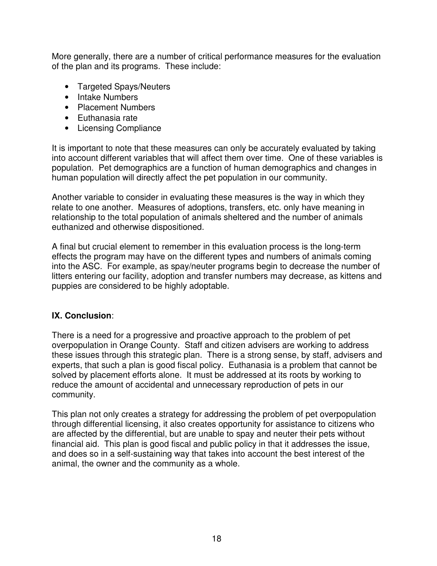More generally, there are a number of critical performance measures for the evaluation of the plan and its programs. These include:

- Targeted Spays/Neuters
- Intake Numbers
- Placement Numbers
- Euthanasia rate
- Licensing Compliance

It is important to note that these measures can only be accurately evaluated by taking into account different variables that will affect them over time. One of these variables is population. Pet demographics are a function of human demographics and changes in human population will directly affect the pet population in our community.

Another variable to consider in evaluating these measures is the way in which they relate to one another. Measures of adoptions, transfers, etc. only have meaning in relationship to the total population of animals sheltered and the number of animals euthanized and otherwise dispositioned.

A final but crucial element to remember in this evaluation process is the long-term effects the program may have on the different types and numbers of animals coming into the ASC. For example, as spay/neuter programs begin to decrease the number of litters entering our facility, adoption and transfer numbers may decrease, as kittens and puppies are considered to be highly adoptable.

## **IX. Conclusion**:

There is a need for a progressive and proactive approach to the problem of pet overpopulation in Orange County. Staff and citizen advisers are working to address these issues through this strategic plan. There is a strong sense, by staff, advisers and experts, that such a plan is good fiscal policy. Euthanasia is a problem that cannot be solved by placement efforts alone. It must be addressed at its roots by working to reduce the amount of accidental and unnecessary reproduction of pets in our community.

This plan not only creates a strategy for addressing the problem of pet overpopulation through differential licensing, it also creates opportunity for assistance to citizens who are affected by the differential, but are unable to spay and neuter their pets without financial aid. This plan is good fiscal and public policy in that it addresses the issue, and does so in a self-sustaining way that takes into account the best interest of the animal, the owner and the community as a whole.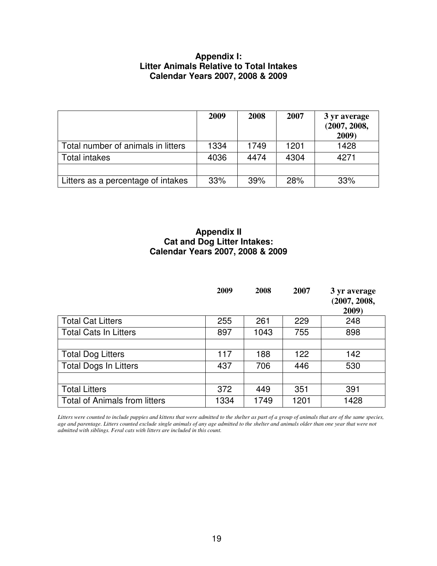#### **Appendix I: Litter Animals Relative to Total Intakes Calendar Years 2007, 2008 & 2009**

|                                    | 2009 | 2008 | 2007 | 3 yr average<br>(2007, 2008,<br>2009) |
|------------------------------------|------|------|------|---------------------------------------|
| Total number of animals in litters | 1334 | 1749 | 1201 | 1428                                  |
| <b>Total intakes</b>               | 4036 | 4474 | 4304 | 4271                                  |
|                                    |      |      |      |                                       |
| Litters as a percentage of intakes | 33%  | 39%  | 28%  | 33%                                   |

## **Appendix II Cat and Dog Litter Intakes: Calendar Years 2007, 2008 & 2009**

|                                      | 2009 | 2008 | 2007 | 3 yr average<br>(2007, 2008,<br>2009) |
|--------------------------------------|------|------|------|---------------------------------------|
| <b>Total Cat Litters</b>             | 255  | 261  | 229  | 248                                   |
| <b>Total Cats In Litters</b>         | 897  | 1043 | 755  | 898                                   |
|                                      |      |      |      |                                       |
| <b>Total Dog Litters</b>             | 117  | 188  | 122  | 142                                   |
| <b>Total Dogs In Litters</b>         | 437  | 706  | 446  | 530                                   |
|                                      |      |      |      |                                       |
| <b>Total Litters</b>                 | 372  | 449  | 351  | 391                                   |
| <b>Total of Animals from litters</b> | 1334 | 1749 | 1201 | 1428                                  |

*Litters were counted to include puppies and kittens that were admitted to the shelter as part of a group of animals that are of the same species, age and parentage. Litters counted exclude single animals of any age admitted to the shelter and animals older than one year that were not admitted with siblings. Feral cats with litters are included in this count.*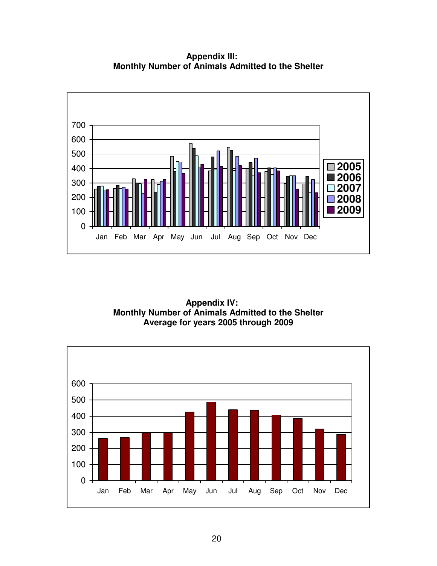**Appendix III: Monthly Number of Animals Admitted to the Shelter** 



**Appendix IV: Monthly Number of Animals Admitted to the Shelter Average for years 2005 through 2009**